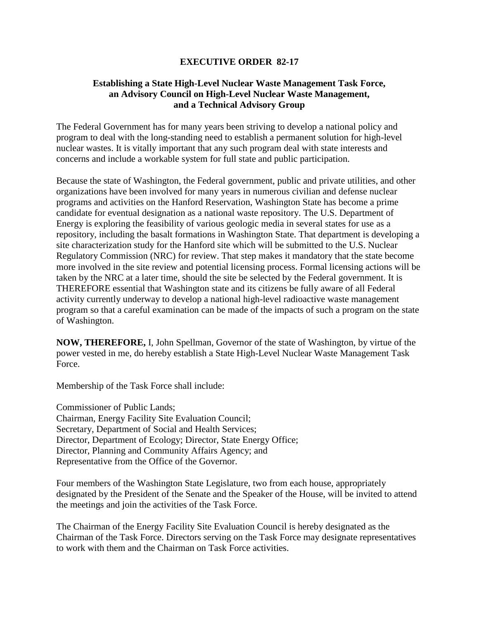## **EXECUTIVE ORDER 82-17**

## **Establishing a State High-Level Nuclear Waste Management Task Force, an Advisory Council on High-Level Nuclear Waste Management, and a Technical Advisory Group**

The Federal Government has for many years been striving to develop a national policy and program to deal with the long-standing need to establish a permanent solution for high-level nuclear wastes. It is vitally important that any such program deal with state interests and concerns and include a workable system for full state and public participation.

Because the state of Washington, the Federal government, public and private utilities, and other organizations have been involved for many years in numerous civilian and defense nuclear programs and activities on the Hanford Reservation, Washington State has become a prime candidate for eventual designation as a national waste repository. The U.S. Department of Energy is exploring the feasibility of various geologic media in several states for use as a repository, including the basalt formations in Washington State. That department is developing a site characterization study for the Hanford site which will be submitted to the U.S. Nuclear Regulatory Commission (NRC) for review. That step makes it mandatory that the state become more involved in the site review and potential licensing process. Formal licensing actions will be taken by the NRC at a later time, should the site be selected by the Federal government. It is THEREFORE essential that Washington state and its citizens be fully aware of all Federal activity currently underway to develop a national high-level radioactive waste management program so that a careful examination can be made of the impacts of such a program on the state of Washington.

**NOW, THEREFORE,** I, John Spellman, Governor of the state of Washington, by virtue of the power vested in me, do hereby establish a State High-Level Nuclear Waste Management Task Force.

Membership of the Task Force shall include:

Commissioner of Public Lands; Chairman, Energy Facility Site Evaluation Council; Secretary, Department of Social and Health Services; Director, Department of Ecology; Director, State Energy Office; Director, Planning and Community Affairs Agency; and Representative from the Office of the Governor.

Four members of the Washington State Legislature, two from each house, appropriately designated by the President of the Senate and the Speaker of the House, will be invited to attend the meetings and join the activities of the Task Force.

The Chairman of the Energy Facility Site Evaluation Council is hereby designated as the Chairman of the Task Force. Directors serving on the Task Force may designate representatives to work with them and the Chairman on Task Force activities.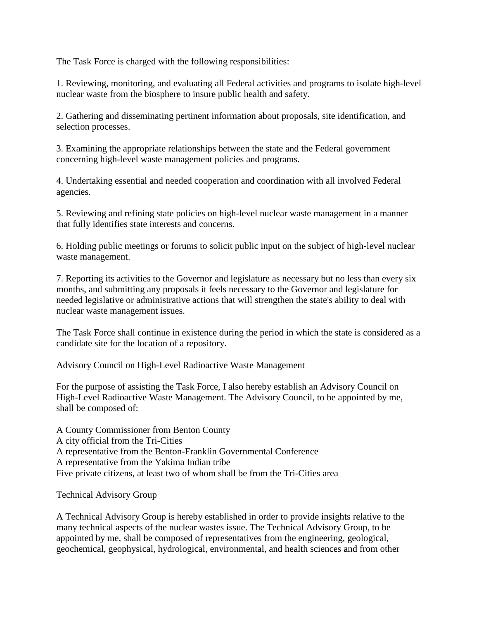The Task Force is charged with the following responsibilities:

1. Reviewing, monitoring, and evaluating all Federal activities and programs to isolate high-level nuclear waste from the biosphere to insure public health and safety.

2. Gathering and disseminating pertinent information about proposals, site identification, and selection processes.

3. Examining the appropriate relationships between the state and the Federal government concerning high-level waste management policies and programs.

4. Undertaking essential and needed cooperation and coordination with all involved Federal agencies.

5. Reviewing and refining state policies on high-level nuclear waste management in a manner that fully identifies state interests and concerns.

6. Holding public meetings or forums to solicit public input on the subject of high-level nuclear waste management.

7. Reporting its activities to the Governor and legislature as necessary but no less than every six months, and submitting any proposals it feels necessary to the Governor and legislature for needed legislative or administrative actions that will strengthen the state's ability to deal with nuclear waste management issues.

The Task Force shall continue in existence during the period in which the state is considered as a candidate site for the location of a repository.

Advisory Council on High-Level Radioactive Waste Management

For the purpose of assisting the Task Force, I also hereby establish an Advisory Council on High-Level Radioactive Waste Management. The Advisory Council, to be appointed by me, shall be composed of:

A County Commissioner from Benton County A city official from the Tri-Cities A representative from the Benton-Franklin Governmental Conference A representative from the Yakima Indian tribe Five private citizens, at least two of whom shall be from the Tri-Cities area

Technical Advisory Group

A Technical Advisory Group is hereby established in order to provide insights relative to the many technical aspects of the nuclear wastes issue. The Technical Advisory Group, to be appointed by me, shall be composed of representatives from the engineering, geological, geochemical, geophysical, hydrological, environmental, and health sciences and from other